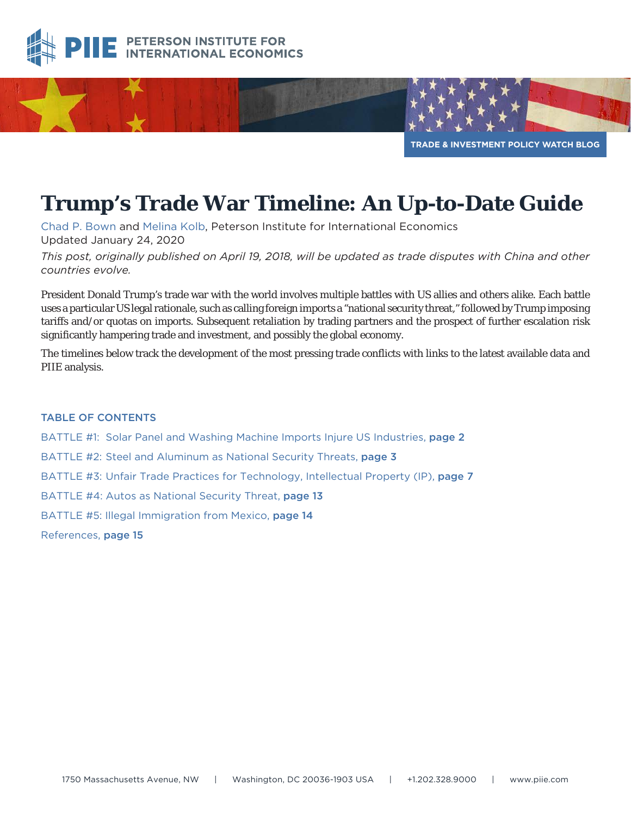



# **Trump's Trade War Timeline: An Up-to-Date Guide**

[Chad P. Bown](https://piie.com/experts/senior-research-staff/chad-p-bown) and [Melina Kolb](https://piie.com/about/staff/melina-kolb), Peterson Institute for International Economics Updated January 24, 2020

*This post, originally published on April 19, 2018, will be updated as trade disputes with China and other countries evolve.*

President Donald Trump's trade war with the world involves multiple battles with US allies and others alike. Each battle uses a particular US legal rationale, such as calling foreign imports a "national security threat," followed by Trump imposing tariffs and/or quotas on imports. Subsequent retaliation by trading partners and the prospect of further escalation risk significantly hampering trade and investment, and possibly the global economy.

The timelines below track the development of the most pressing trade conflicts with links to the latest available data and PIIE analysis.

#### TABLE OF CONTENTS

BATTLE #1: Solar Panel and Washing Machine Imports Injure US Industries, [page 2](#page-1-0) BATTLE #2: Steel and Aluminum as National Security Threats, [page 3](#page-2-0) BATTLE #3: Unfair Trade Practices for Technology, Intellectual Property (IP), [page 7](#page-6-0) BATTLE #4: Autos as National Security Threat, [page 13](#page-12-0) BATTLE #5: Illegal Immigration from Mexico, [page 14](#page-13-0) References, [page 15](#page-14-0)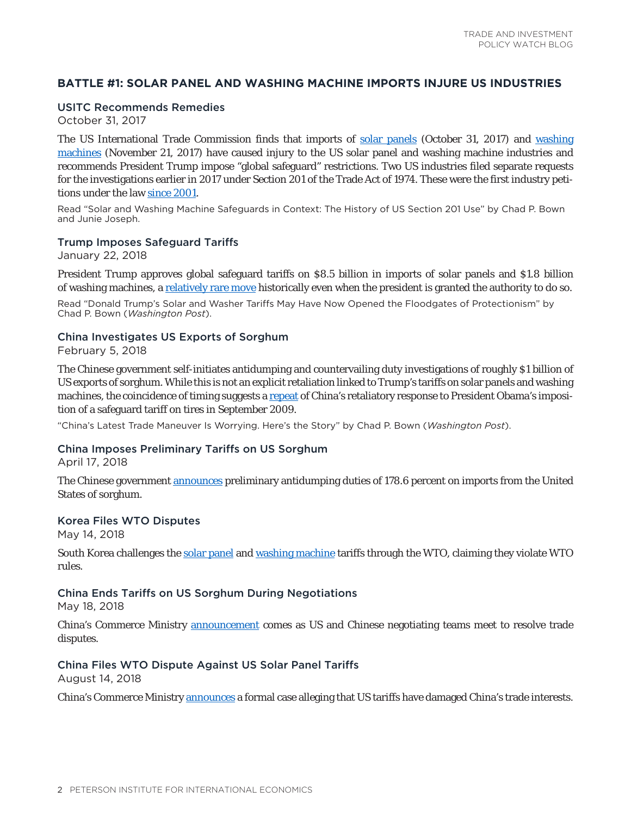## <span id="page-1-0"></span>**BATTLE #1: SOLAR PANEL AND WASHING MACHINE IMPORTS INJURE US INDUSTRIES**

### USITC Recommends Remedies

October 31, 2017

The US International Trade Commission finds that imports of [solar panels](https://www.usitc.gov/press_room/news_release/2017/er1031ll857.htm) (October 31, 2017) and [washing](https://www.usitc.gov/press_room/news_release/2017/er1121ll870.htm) [machines](https://www.usitc.gov/press_room/news_release/2017/er1121ll870.htm) (November 21, 2017) have caused injury to the US solar panel and washing machine industries and recommends President Trump impose "global safeguard" restrictions. Two US industries filed separate requests for the investigations earlier in 2017 under Section 201 of the Trade Act of 1974. These were the first industry petitions under the law [since 2001](https://piie.com/blogs/trade-investment-policy-watch/solar-and-washing-machine-safeguards-context-history-us-section).

Read "Solar and Washing Machine Safeguards in Context: The History of US Section 201 Use" by Chad P. Bown and Junie Joseph.

#### Trump Imposes Safeguard Tariffs

January 22, 2018

President Trump approves global safeguard tariffs on \$8.5 billion in imports of solar panels and \$1.8 billion of washing machines, a [relatively rare move](https://piie.com/commentary/op-eds/donald-trumps-solar-and-washer-tariffs-may-have-now-opened-floodgates) historically even when the president is granted the authority to do so.

Read "Donald Trump's Solar and Washer Tariffs May Have Now Opened the Floodgates of Protectionism" by Chad P. Bown (*Washington Post*).

#### China Investigates US Exports of Sorghum

February 5, 2018

The Chinese government self-initiates antidumping and countervailing duty investigations of roughly \$1 billion of US exports of sorghum. While this is not an explicit retaliation linked to Trump's tariffs on solar panels and washing machines, the coincidence of timing suggests a [repeat](https://piie.com/commentary/op-eds/chinas-latest-trade-maneuver-worrying) of China's retaliatory response to President Obama's imposition of a safeguard tariff on tires in September 2009.

"China's Latest Trade Maneuver Is Worrying. Here's the Story" by Chad P. Bown (*Washington Post*).

#### China Imposes Preliminary Tariffs on US Sorghum

April 17, 2018

The Chinese government [announces](http://www.xinhuanet.com/english/2018-04/17/c_137117475.htm) preliminary antidumping duties of 178.6 percent on imports from the United States of sorghum.

#### Korea Files WTO Disputes

May 14, 2018

South Korea challenges the [solar panel](https://www.wto.org/english/tratop_e/dispu_e/cases_e/ds545_e.htm) and [washing machine](https://www.wto.org/english/tratop_e/dispu_e/cases_e/ds546_e.htm) tariffs through the WTO, claiming they violate WTO rules.

#### China Ends Tariffs on US Sorghum During Negotiations

May 18, 2018

China's Commerce Ministry [announcement](http://english.mofcom.gov.cn/article/policyrelease/buwei/201805/20180502746783.shtml) comes as US and Chinese negotiating teams meet to resolve trade disputes.

#### China Files WTO Dispute Against US Solar Panel Tariffs

August 14, 2018

China's Commerce Ministry [announces](http://www.mofcom.gov.cn/article/ae/ag/201808/20180802775695.shtml) a formal case alleging that US tariffs have damaged China's trade interests.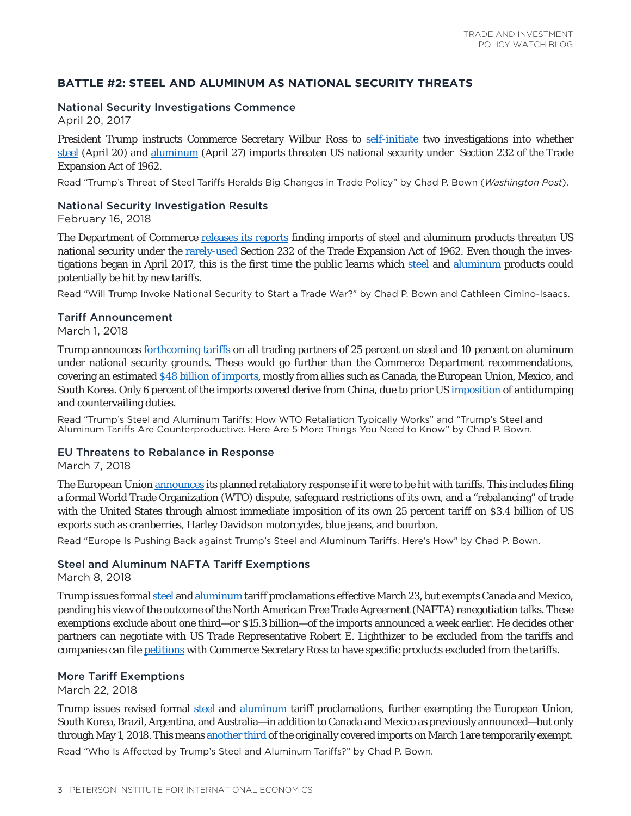## <span id="page-2-0"></span>**BATTLE #2: STEEL AND ALUMINUM AS NATIONAL SECURITY THREATS**

## National Security Investigations Commence

April 20, 2017

President Trump instructs Commerce Secretary Wilbur Ross to [self-initiate](https://piie.com/commentary/op-eds/trumps-threat-steel-tariffs-heralds-big-changes-trade-policy) two investigations into whether [steel](https://www.whitehouse.gov/briefings-statements/remarks-president-trump-signing-memorandum-regarding-investigation-pursuant-section-232b-trade-expansion-act/) (April 20) and [aluminum](https://www.whitehouse.gov/presidential-actions/presidential-memorandum-secretary-commerce/) (April 27) imports threaten US national security under Section 232 of the Trade Expansion Act of 1962.

Read "Trump's Threat of Steel Tariffs Heralds Big Changes in Trade Policy" by Chad P. Bown (*Washington Post*).

#### National Security Investigation Results

February 16, 2018

The Department of Commerce [releases its reports](https://www.commerce.gov/news/press-releases/2018/02/secretary-ross-releases-steel-and-aluminum-232-reports-coordination) finding imports of steel and aluminum products threaten US national security under the [rarely-used](https://piie.com/blogs/trade-investment-policy-watch/will-trump-invoke-national-security-start-trade-war) Section 232 of the Trade Expansion Act of 1962. Even though the investigations began in April 2017, this is the first time the public learns which [steel](https://www.bis.doc.gov/index.php/documents/steel/2224-the-effect-of-imports-of-steel-on-the-national-security-with-redactions-20180111/file) and [aluminum](https://www.bis.doc.gov/index.php/documents/aluminum/2223-the-effect-of-imports-of-aluminum-on-the-national-security-with-redactions-20180117/file) products could potentially be hit by new tariffs.

Read "Will Trump Invoke National Security to Start a Trade War?" by Chad P. Bown and Cathleen Cimino-Isaacs.

#### Tariff Announcement

March 1, 2018

Trump announces [forthcoming tariffs](https://www.washingtonpost.com/news/business/wp/2018/03/01/white-house-planning-major-announcement-thursday-on-steel-and-aluminum-imports/?utm_term=.9ad45bf208bb) on all trading partners of 25 percent on steel and 10 percent on aluminum under national security grounds. These would go further than the Commerce Department recommendations, covering an estimated [\\$48 billion of imports,](https://piie.com/blogs/trade-investment-policy-watch/trumps-steel-and-aluminum-tariffs-how-wto-retaliation-typically) mostly from allies such as Canada, the European Union, Mexico, and South Korea. Only 6 percent of the imports covered derive from China, due to prior US [imposition](https://piie.com/blogs/trade-investment-policy-watch/trumps-steel-and-aluminum-tariffs-are-counterproductive-here-are) of antidumping and countervailing duties.

Read "Trump's Steel and Aluminum Tariffs: How WTO Retaliation Typically Works" and "Trump's Steel and Aluminum Tariffs Are Counterproductive. Here Are 5 More Things You Need to Know" by Chad P. Bown.

#### EU Threatens to Rebalance in Response

March 7, 2018

The European Union [announces](https://piie.com/commentary/op-eds/europe-pushing-back-against-trumps-steel-and-aluminum-tariffs-heres-how) its planned retaliatory response if it were to be hit with tariffs. This includes filing a formal World Trade Organization (WTO) dispute, safeguard restrictions of its own, and a "rebalancing" of trade with the United States through almost immediate imposition of its own 25 percent tariff on \$3.4 billion of US exports such as cranberries, Harley Davidson motorcycles, blue jeans, and bourbon.

Read "Europe Is Pushing Back against Trump's Steel and Aluminum Tariffs. Here's How" by Chad P. Bown.

## Steel and Aluminum NAFTA Tariff Exemptions

March 8, 2018

Trump issues formal [steel](https://www.whitehouse.gov/presidential-actions/presidential-proclamation-adjusting-imports-steel-united-states/) and [aluminum](https://www.whitehouse.gov/presidential-actions/presidential-proclamation-adjusting-imports-aluminum-united-states/) tariff proclamations effective March 23, but exempts Canada and Mexico, pending his view of the outcome of the North American Free Trade Agreement (NAFTA) renegotiation talks. These exemptions exclude about one third—or \$15.3 billion—of the imports announced a week earlier. He decides other partners can negotiate with US Trade Representative Robert E. Lighthizer to be excluded from the tariffs and companies can file [petitions](https://www.commerce.gov/news/press-releases/2018/03/us-department-commerce-announces-steel-and-aluminum-tariff-exclusion) with Commerce Secretary Ross to have specific products excluded from the tariffs.

#### More Tariff Exemptions

March 22, 2018

Trump issues revised formal [steel](https://www.whitehouse.gov/presidential-actions/presidential-proclamation-adjusting-imports-steel-united-states-2/) and [aluminum](https://www.whitehouse.gov/presidential-actions/presidential-proclamation-adjusting-imports-aluminum-united-states-2/) tariff proclamations, further exempting the European Union, South Korea, Brazil, Argentina, and Australia—in addition to Canada and Mexico as previously announced—but only through May 1, 2018. This means [another third](https://piie.com/research/piie-charts/who-affected-trumps-steel-and-aluminum-tariffs) of the originally covered imports on March 1 are temporarily exempt. Read "Who Is Affected by Trump's Steel and Aluminum Tariffs?" by Chad P. Bown.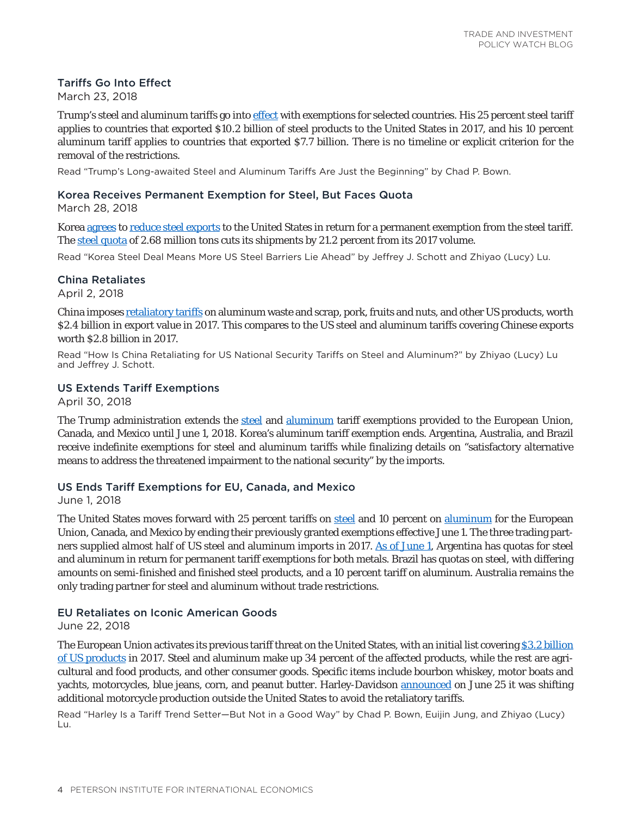## Tariffs Go Into Effect

March 23, 2018

Trump's steel and aluminum tariffs go into [effect](https://piie.com/blogs/trade-investment-policy-watch/trumps-long-awaited-steel-and-aluminum-tariffs-are-just) with exemptions for selected countries. His 25 percent steel tariff applies to countries that exported \$10.2 billion of steel products to the United States in 2017, and his 10 percent aluminum tariff applies to countries that exported \$7.7 billion. There is no timeline or explicit criterion for the removal of the restrictions.

Read "Trump's Long-awaited Steel and Aluminum Tariffs Are Just the Beginning" by Chad P. Bown.

## Korea Receives Permanent Exemption for Steel, But Faces Quota

March 28, 2018

Korea [agrees](https://ustr.gov/about-us/policy-offices/press-office/press-releases/2018/march/joint-statement-united-states-trade) to [reduce steel exports](https://www.whitehouse.gov/briefings-statements/president-donald-j-trump-fulfilling-promise-u-s-korea-free-trade-agreement-national-security/) to the United States in return for a permanent exemption from the steel tariff. The [steel quota](https://piie.com/blogs/trade-investment-policy-watch/korea-steel-deal-means-more-us-steel-barriers-lie-ahead) of 2.68 million tons cuts its shipments by 21.2 percent from its 2017 volume.

Read "Korea Steel Deal Means More US Steel Barriers Lie Ahead" by Jeffrey J. Schott and Zhiyao (Lucy) Lu.

## China Retaliates

April 2, 2018

China imposes [retaliatory tariffs](https://piie.com/research/piie-charts/how-china-retaliating-us-national-security-tariffs-steel-and-aluminum) on aluminum waste and scrap, pork, fruits and nuts, and other US products, worth \$2.4 billion in export value in 2017. This compares to the US steel and aluminum tariffs covering Chinese exports worth \$2.8 billion in 2017.

Read "How Is China Retaliating for US National Security Tariffs on Steel and Aluminum?" by Zhiyao (Lucy) Lu and Jeffrey J. Schott.

## US Extends Tariff Exemptions

April 30, 2018

The Trump administration extends the [steel](https://www.whitehouse.gov/presidential-actions/presidential-proclamation-adjusting-imports-steel-united-states-3/) and [aluminum](https://www.whitehouse.gov/presidential-actions/presidential-proclamation-adjusting-imports-aluminum-united-states-3/) tariff exemptions provided to the European Union, Canada, and Mexico until June 1, 2018. Korea's aluminum tariff exemption ends. Argentina, Australia, and Brazil receive indefinite exemptions for steel and aluminum tariffs while finalizing details on "satisfactory alternative means to address the threatened impairment to the national security" by the imports.

## US Ends Tariff Exemptions for EU, Canada, and Mexico

June 1, 2018

The United States moves forward with 25 percent tariffs on [steel](https://www.whitehouse.gov/presidential-actions/presidential-proclamation-adjusting-imports-steel-united-states-4/) and 10 percent on [aluminum](https://www.whitehouse.gov/presidential-actions/presidential-proclamation-adjusting-imports-aluminum-united-states-4/) for the European Union, Canada, and Mexico by ending their previously granted exemptions effective June 1. The three trading partners supplied almost half of US steel and aluminum imports in 2017. [As of June 1](https://www.cbp.gov/trade/programs-administration/entry-summary/232-tariffs-aluminum-and-steel), Argentina has quotas for steel and aluminum in return for permanent tariff exemptions for both metals. Brazil has quotas on steel, with differing amounts on semi-finished and finished steel products, and a 10 percent tariff on aluminum. Australia remains the only trading partner for steel and aluminum without trade restrictions.

## EU Retaliates on Iconic American Goods

June 22, 2018

The European Union activates its previous tariff threat on the United States, with an initial list covering [\\$3.2 billion](https://piie.com/blogs/trade-investment-policy-watch/harley-tariff-trend-setter-not-good-way) [of US products](https://piie.com/blogs/trade-investment-policy-watch/harley-tariff-trend-setter-not-good-way) in 2017. Steel and aluminum make up 34 percent of the affected products, while the rest are agricultural and food products, and other consumer goods. Specific items include bourbon whiskey, motor boats and yachts, motorcycles, blue jeans, corn, and peanut butter. Harley-Davidson [announced](https://www.sec.gov/Archives/edgar/data/793952/000079395218000038/a8-kitem701tariffdisclosur.htm) on June 25 it was shifting additional motorcycle production outside the United States to avoid the retaliatory tariffs.

Read "Harley Is a Tariff Trend Setter—But Not in a Good Way" by Chad P. Bown, Euijin Jung, and Zhiyao (Lucy) Lu.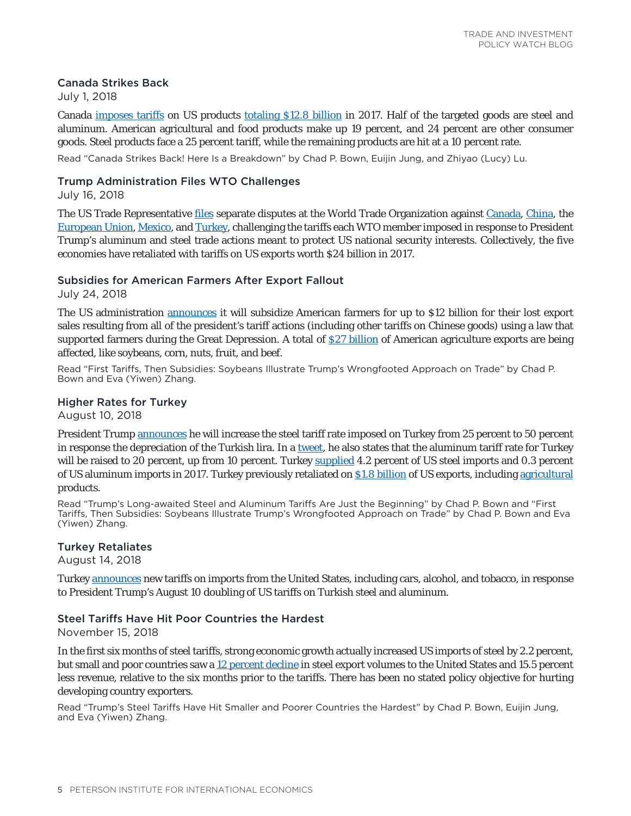## Canada Strikes Back

July 1, 2018

Canada [imposes tariffs](https://www.fin.gc.ca/access/tt-it/cacsap-cmpcaa-1-eng.asp) on US products [totaling \\$12.8 billion](https://piie.com/blogs/trade-investment-policy-watch/canada-strikes-back-here-breakdown) in 2017. Half of the targeted goods are steel and aluminum. American agricultural and food products make up 19 percent, and 24 percent are other consumer goods. Steel products face a 25 percent tariff, while the remaining products are hit at a 10 percent rate.

Read "Canada Strikes Back! Here Is a Breakdown" by Chad P. Bown, Euijin Jung, and Zhiyao (Lucy) Lu.

## Trump Administration Files WTO Challenges

July 16, 2018

The US Trade Representative [files](https://ustr.gov/about-us/policy-offices/press-office/press-releases/2018/july/united-states-challenges-five-wto) separate disputes at the World Trade Organization against [Canada](https://www.wto.org/english/tratop_e/dispu_e/cases_e/ds557_e.htm), [China,](https://www.wto.org/english/tratop_e/dispu_e/cases_e/ds558_e.htm) the [European Union,](https://www.wto.org/english/tratop_e/dispu_e/cases_e/ds559_e.htm) [Mexico,](https://www.wto.org/english/tratop_e/dispu_e/cases_e/ds560_e.htm) and [Turkey,](https://www.wto.org/english/tratop_e/dispu_e/cases_e/ds561_e.htm) challenging the tariffs each WTO member imposed in response to President Trump's aluminum and steel trade actions meant to protect US national security interests. Collectively, the five economies have retaliated with tariffs on US exports worth \$24 billion in 2017.

## Subsidies for American Farmers After Export Fallout

July 24, 2018

The US administration [announces](https://www.usda.gov/media/press-releases/2018/07/24/usda-assists-farmers-impacted-unjustified-retaliation) it will subsidize American farmers for up to \$12 billion for their lost export sales resulting from all of the president's tariff actions (including other tariffs on Chinese goods) using a law that supported farmers during the Great Depression. A total of  $S27$  billion of American agriculture exports are being affected, like soybeans, corn, nuts, fruit, and beef.

Read "First Tariffs, Then Subsidies: Soybeans Illustrate Trump's Wrongfooted Approach on Trade" by Chad P. Bown and Eva (Yiwen) Zhang.

## Higher Rates for Turkey

August 10, 2018

President Trump [announces](https://www.whitehouse.gov/presidential-actions/presidential-proclamation-adjusting-imports-steel-united-states-5/) he will increase the steel tariff rate imposed on Turkey from 25 percent to 50 percent in response the depreciation of the Turkish lira. In a [tweet,](https://twitter.com/realDonaldTrump/status/1027899286586109955) he also states that the aluminum tariff rate for Turkey will be raised to 20 percent, up from 10 percent. Turkey [supplied](https://piie.com/blogs/trade-investment-policy-watch/trumps-long-awaited-steel-and-aluminum-tariffs-are-just) 4.2 percent of US steel imports and 0.3 percent of US aluminum imports in 2017. Turkey previously retaliated on [\\$1.8 billion](https://docs.wto.org/dol2fe/Pages/FE_Search/FE_S_S009-DP.aspx?language=E&CatalogueIdList=245272&CurrentCatalogueIdIndex=0&FullTextHash=371857150&HasEnglishRecord=True&HasFrenchRecord=False&HasSpanishRecord=True) of US exports, including [agricultural](https://piie.com/blogs/trade-investment-policy-watch/first-tariffs-then-subsidies-soybeans-illustrate-trumps) products.

Read "Trump's Long-awaited Steel and Aluminum Tariffs Are Just the Beginning" by Chad P. Bown and "First Tariffs, Then Subsidies: Soybeans Illustrate Trump's Wrongfooted Approach on Trade" by Chad P. Bown and Eva (Yiwen) Zhang.

## Turkey Retaliates

August 14, 2018

Turkey [announces](http://www.resmigazete.gov.tr/eskiler/2018/08/20180815-6.pdf) new tariffs on imports from the United States, including cars, alcohol, and tobacco, in response to President Trump's August 10 doubling of US tariffs on Turkish steel and aluminum.

## Steel Tariffs Have Hit Poor Countries the Hardest

November 15, 2018

In the first six months of steel tariffs, strong economic growth actually increased US imports of steel by 2.2 percent, but small and poor countries saw a [12 percent decline](https://piie.com/blogs/trade-investment-policy-watch/trumps-steel-tariffs-have-hit-smaller-and-poorer-countries) in steel export volumes to the United States and 15.5 percent less revenue, relative to the six months prior to the tariffs. There has been no stated policy objective for hurting developing country exporters.

Read "Trump's Steel Tariffs Have Hit Smaller and Poorer Countries the Hardest" by Chad P. Bown, Euijin Jung, and Eva (Yiwen) Zhang.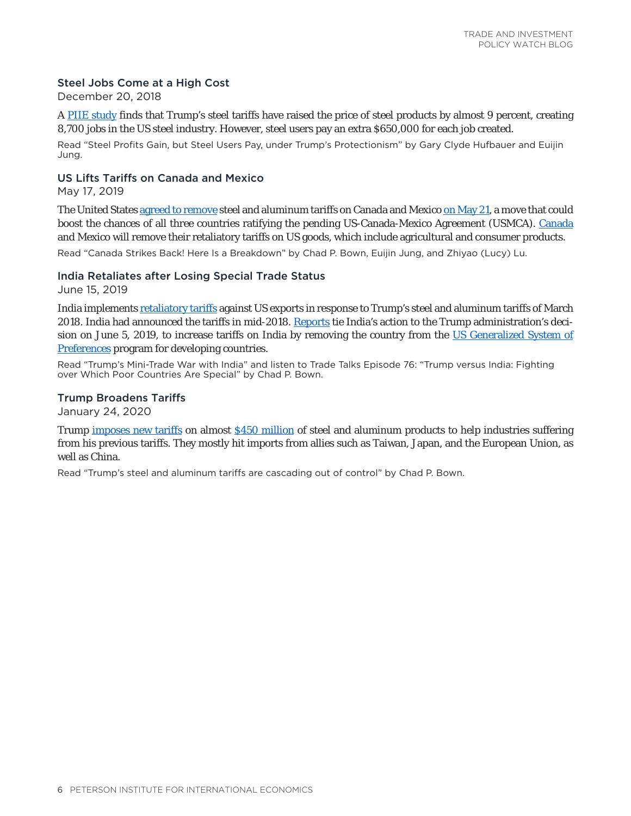## Steel Jobs Come at a High Cost

December 20, 2018

A [PIIE study](https://piie.com/blogs/trade-investment-policy-watch/steel-profits-gain-steel-users-pay-under-trumps-protectionism) finds that Trump's steel tariffs have raised the price of steel products by almost 9 percent, creating 8,700 jobs in the US steel industry. However, steel users pay an extra \$650,000 for each job created.

Read "Steel Profits Gain, but Steel Users Pay, under Trump's Protectionism" by Gary Clyde Hufbauer and Euijin Jung.

# US Lifts Tariffs on Canada and Mexico

May 17, 2019

The United States [agreed to remove](https://www.canada.ca/en/global-affairs/news/2019/05/joint-statement-by-the-united-states-and-canada-on-section-232-duties-on-steel-and-aluminum.html) steel and aluminum tariffs on Canada and Mexico [on May 21,](https://www.federalregister.gov/documents/2019/05/21/2019-10759/adjusting-imports-of-steel-into-the-united-states) a move that could boost the chances of all three countries ratifying the pending US-Canada-Mexico Agreement (USMCA). [Canada](https://piie.com/blogs/trade-investment-policy-watch/canada-strikes-back-here-breakdown) and Mexico will remove their retaliatory tariffs on US goods, which include agricultural and consumer products.

Read "Canada Strikes Back! Here Is a Breakdown" by Chad P. Bown, Euijin Jung, and Zhiyao (Lucy) Lu.

#### India Retaliates after Losing Special Trade Status

June 15, 2019

India implements [retaliatory tariffs](https://www.piie.com/blogs/trade-investment-policy-watch/trumps-mini-trade-war-india) against US exports in response to Trump's steel and aluminum tariffs of March 2018. India had announced the tariffs in mid-2018. [Reports](https://www.reuters.com/article/us-usa-trade-india/india-to-impose-retaliatory-tariffs-on-28-us-goods-from-sunday-idUSKCN1TG0H0) tie India's action to the Trump administration's decision on June 5, 2019, to increase tariffs on India by removing the country from the [US Generalized System of](https://www.tradetalkspodcast.com/podcast/76-trump-versus-india-fighting-over-which-poor-countries-are-special/) [Preferences](https://www.tradetalkspodcast.com/podcast/76-trump-versus-india-fighting-over-which-poor-countries-are-special/) program for developing countries.

Read "Trump's Mini-Trade War with India" and listen to Trade Talks Episode 76: "Trump versus India: Fighting over Which Poor Countries Are Special" by Chad P. Bown.

#### Trump Broadens Tariffs

January 24, 2020

Trump [imposes new tariffs](https://www.whitehouse.gov/presidential-actions/proclamation-adjusting-imports-derivative-aluminum-articles-derivative-steel-articles-united-states/) on almost [\\$450 million](https://www.piie.com/blogs/trade-and-investment-policy-watch/trumps-steel-and-aluminum-tariffs-are-cascading-out-control) of steel and aluminum products to help industries suffering from his previous tariffs. They mostly hit imports from allies such as Taiwan, Japan, and the European Union, as well as China.

Read "Trump's steel and aluminum tariffs are cascading out of control" by Chad P. Bown.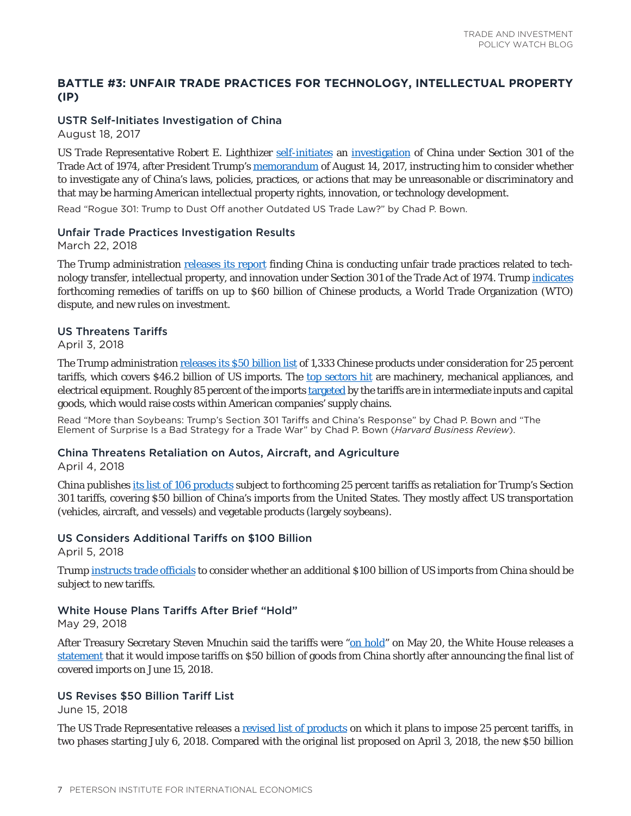# <span id="page-6-0"></span>**BATTLE #3: UNFAIR TRADE PRACTICES FOR TECHNOLOGY, INTELLECTUAL PROPERTY (IP)**

## USTR Self-Initiates Investigation of China

August 18, 2017

US Trade Representative Robert E. Lighthizer [self-initiates](https://piie.com/blogs/trade-investment-policy-watch/rogue-301-trump-dust-another-outdated-us-trade-law) an [investigation](https://ustr.gov/about-us/policy-offices/press-office/press-releases/2017/august/ustr-announces-initiation-section) of China under Section 301 of the Trade Act of 1974, after President Trump's [memorandum](https://www.whitehouse.gov/presidential-actions/presidential-memorandum-united-states-trade-representative/) of August 14, 2017, instructing him to consider whether to investigate any of China's laws, policies, practices, or actions that may be unreasonable or discriminatory and that may be harming American intellectual property rights, innovation, or technology development.

Read "Rogue 301: Trump to Dust Off another Outdated US Trade Law?" by Chad P. Bown.

### Unfair Trade Practices Investigation Results

March 22, 2018

The Trump administration [releases its report](https://ustr.gov/sites/default/files/Section%20301%20FINAL.PDF) finding China is conducting unfair trade practices related to technology transfer, intellectual property, and innovation under Section 301 of the Trade Act of 1974. Trump [indicates](https://www.whitehouse.gov/briefings-statements/remarks-president-trump-signing-presidential-memorandum-targeting-chinas-economic-aggression/) forthcoming remedies of tariffs on up to \$60 billion of Chinese products, a World Trade Organization (WTO) dispute, and new rules on investment.

### US Threatens Tariffs

April 3, 2018

The Trump administration [releases its \\$50 billion list](https://ustr.gov/sites/default/files/files/Press/Releases/301FRN.pdf#page=14) of 1,333 Chinese products under consideration for 25 percent tariffs, which covers \$46.2 billion of US imports. The [top sectors hit](https://piie.com/blogs/trade-investment-policy-watch/more-soybeans-trumps-section-301-tariffs-and-chinas-response) are machinery, mechanical appliances, and electrical equipment. Roughly 85 percent of the imports [targeted](https://piie.com/commentary/op-eds/element-surprise-bad-strategy-trade-war) by the tariffs are in intermediate inputs and capital goods, which would raise costs within American companies' supply chains.

Read "More than Soybeans: Trump's Section 301 Tariffs and China's Response" by Chad P. Bown and "The Element of Surprise Is a Bad Strategy for a Trade War" by Chad P. Bown (*Harvard Business Review*).

## China Threatens Retaliation on Autos, Aircraft, and Agriculture

April 4, 2018

China publishes [its list of 106 products](http://www.scio.gov.cn/xwfbh/xwbfbh/wqfbh/37601/38181/xgzc38187/Document/1626839/1626839.htm) subject to forthcoming 25 percent tariffs as retaliation for Trump's Section 301 tariffs, covering \$50 billion of China's imports from the United States. They mostly affect US transportation (vehicles, aircraft, and vessels) and vegetable products (largely soybeans).

## US Considers Additional Tariffs on \$100 Billion

April 5, 2018

Trump [instructs trade officials](https://www.marketwatch.com/story/trump-statement-requesting-100-billion-in-additional-china-tariffs-2018-04-05) to consider whether an additional \$100 billion of US imports from China should be subject to new tariffs.

#### White House Plans Tariffs After Brief "Hold"

May 29, 2018

After Treasury Secretary Steven Mnuchin said the tariffs were ["on hold"](https://www.reuters.com/article/us-usa-trade-mnuchin/u-s-china-putting-trade-war-on-hold-treasurys-mnuchin-says-idUSKCN1IL0JG) on May 20, the White House releases a [statement](https://www.whitehouse.gov/briefings-statements/statement-steps-protect-domestic-technology-intellectual-property-chinas-discriminatory-burdensome-trade-practices/) that it would impose tariffs on \$50 billion of goods from China shortly after announcing the final list of covered imports on June 15, 2018.

## US Revises \$50 Billion Tariff List

June 15, 2018

The US Trade Representative releases a [revised list of products](https://ustr.gov/about-us/policy-offices/press-office/press-releases/2018/june/ustr-issues-tariffs-chinese-products) on which it plans to impose 25 percent tariffs, in two phases starting July 6, 2018. Compared with the original list proposed on April 3, 2018, the new \$50 billion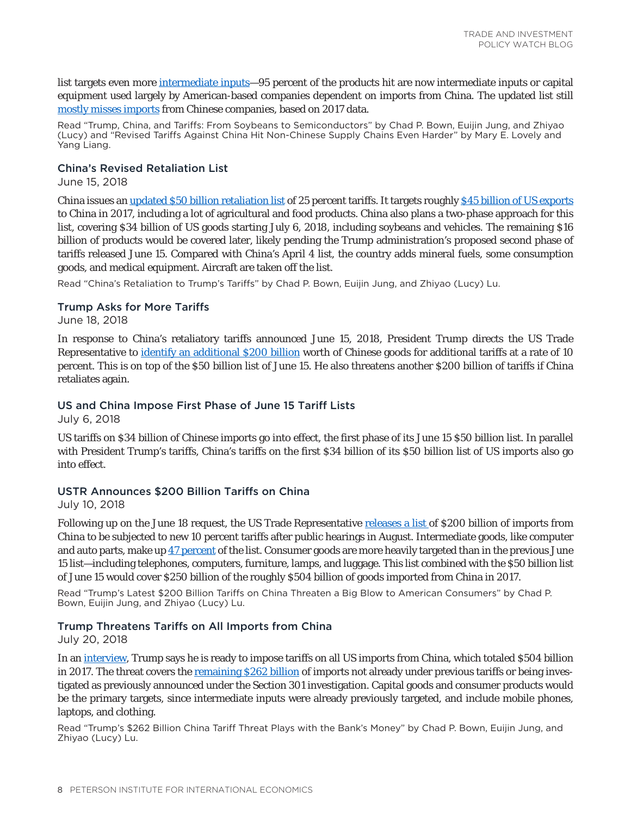list targets even more [intermediate inputs](https://piie.com/blogs/trade-investment-policy-watch/trump-china-and-tariffs-soybeans-semiconductors)—95 percent of the products hit are now intermediate inputs or capital equipment used largely by American-based companies dependent on imports from China. The updated list still [mostly misses imports](https://piie.com/research/piie-charts/revised-tariffs-against-china-hit-non-chinese-supply-chains-even-harder) from Chinese companies, based on 2017 data.

Read "Trump, China, and Tariffs: From Soybeans to Semiconductors" by Chad P. Bown, Euijin Jung, and Zhiyao (Lucy) and "Revised Tariffs Against China Hit Non-Chinese Supply Chains Even Harder" by Mary E. Lovely and Yang Liang.

#### China's Revised Retaliation List

June 15, 2018

China issues an [updated \\$50 billion retaliation list](http://gss.mof.gov.cn/zhengwuxinxi/zhengcefabu/201806/t20180616_2930325.html) of 25 percent tariffs. It targets roughly [\\$45 billion of US exports](https://piie.com/blogs/trade-investment-policy-watch/chinas-retaliation-trumps-tariffs) to China in 2017, including a lot of agricultural and food products. China also plans a two-phase approach for this list, covering \$34 billion of US goods starting July 6, 2018, including soybeans and vehicles. The remaining \$16 billion of products would be covered later, likely pending the Trump administration's proposed second phase of tariffs released June 15. Compared with China's April 4 list, the country adds mineral fuels, some consumption goods, and medical equipment. Aircraft are taken off the list.

Read "China's Retaliation to Trump's Tariffs" by Chad P. Bown, Euijin Jung, and Zhiyao (Lucy) Lu.

#### Trump Asks for More Tariffs

June 18, 2018

In response to China's retaliatory tariffs announced June 15, 2018, President Trump directs the US Trade Representative to [identify an additional \\$200 billion](https://www.whitehouse.gov/briefings-statements/statement-president-regarding-trade-china-2/) worth of Chinese goods for additional tariffs at a rate of 10 percent. This is on top of the \$50 billion list of June 15. He also threatens another \$200 billion of tariffs if China retaliates again.

### US and China Impose First Phase of June 15 Tariff Lists

July 6, 2018

US tariffs on \$34 billion of Chinese imports go into effect, the first phase of its June 15 \$50 billion list. In parallel with President Trump's tariffs, China's tariffs on the first \$34 billion of its \$50 billion list of US imports also go into effect.

#### USTR Announces \$200 Billion Tariffs on China

July 10, 2018

Following up on the June 18 request, the US Trade Representative [releases a list](https://ustr.gov/sites/default/files/301/2018-0026%20China%20FRN%207-10-2018_0.pdf) of \$200 billion of imports from China to be subjected to new 10 percent tariffs after public hearings in August. Intermediate goods, like computer and auto parts, make up [47 percent](https://piie.com/blogs/trade-investment-policy-watch/trumps-latest-200-billion-tariffs-china-threaten-big-blow) of the list. Consumer goods are more heavily targeted than in the previous June 15 list—including telephones, computers, furniture, lamps, and luggage. This list combined with the \$50 billion list of June 15 would cover \$250 billion of the roughly \$504 billion of goods imported from China in 2017.

Read "Trump's Latest \$200 Billion Tariffs on China Threaten a Big Blow to American Consumers" by Chad P. Bown, Euijin Jung, and Zhiyao (Lucy) Lu.

## Trump Threatens Tariffs on All Imports from China

July 20, 2018

In an [interview,](https://www.cnbc.com/2018/07/20/cnbc-transcript-president-donald-trump-sits-down-with-cnbcs-joe-kern.html) Trump says he is ready to impose tariffs on all US imports from China, which totaled \$504 billion in 2017. The threat covers the [remaining \\$262 billion](https://piie.com/blogs/trade-investment-policy-watch/trumps-262-billion-china-tariff-threat-plays-banks-money) of imports not already under previous tariffs or being investigated as previously announced under the Section 301 investigation. Capital goods and consumer products would be the primary targets, since intermediate inputs were already previously targeted, and include mobile phones, laptops, and clothing.

Read "Trump's \$262 Billion China Tariff Threat Plays with the Bank's Money" by Chad P. Bown, Euijin Jung, and Zhiyao (Lucy) Lu.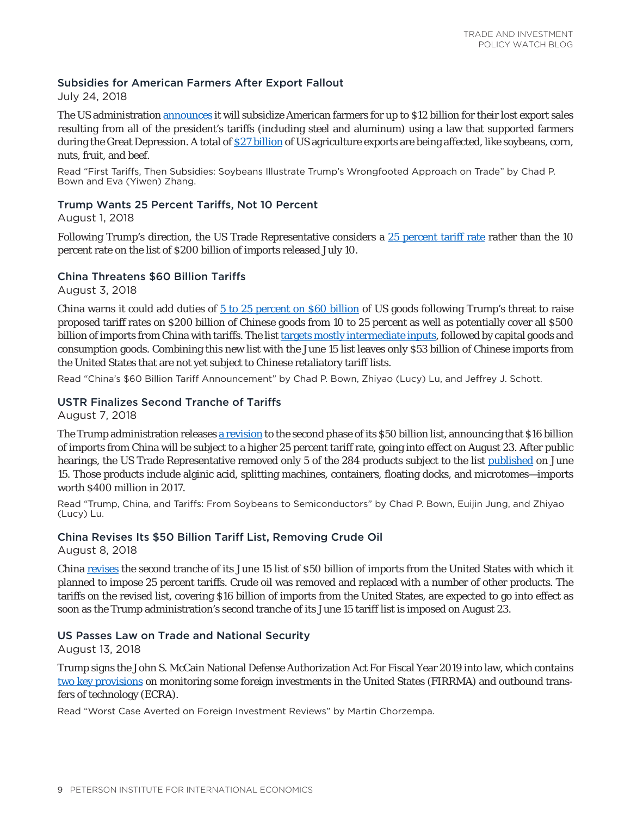## Subsidies for American Farmers After Export Fallout

July 24, 2018

The US administration [announces](https://www.usda.gov/media/press-releases/2018/07/24/usda-assists-farmers-impacted-unjustified-retaliation) it will subsidize American farmers for up to \$12 billion for their lost export sales resulting from all of the president's tariffs (including steel and aluminum) using a law that supported farmers during the Great Depression. A total of [\\$27 billion](https://piie.com/blogs/trade-investment-policy-watch/first-tariffs-then-subsidies-soybeans-illustrate-trumps) of US agriculture exports are being affected, like soybeans, corn, nuts, fruit, and beef.

Read "First Tariffs, Then Subsidies: Soybeans Illustrate Trump's Wrongfooted Approach on Trade" by Chad P. Bown and Eva (Yiwen) Zhang.

## Trump Wants 25 Percent Tariffs, Not 10 Percent

August 1, 2018

Following Trump's direction, the US Trade Representative considers a [25 percent tariff rate](https://ustr.gov/about-us/policy-offices/press-office/press-releases/2018/august/statement-us-trade-representative) rather than the 10 percent rate on the list of \$200 billion of imports released July 10.

## China Threatens \$60 Billion Tariffs

August 3, 2018

China warns it could add duties of [5 to 25 percent on \\$60 billion](http://gss.mof.gov.cn/zhengwuxinxi/zhengcefabu/201808/t20180803_2980950.html) of US goods following Trump's threat to raise proposed tariff rates on \$200 billion of Chinese goods from 10 to 25 percent as well as potentially cover all \$500 billion of imports from China with tariffs. The list [targets mostly intermediate inputs](https://piie.com/blogs/trade-investment-policy-watch/chinas-60-billion-tariff-announcement), followed by capital goods and consumption goods. Combining this new list with the June 15 list leaves only \$53 billion of Chinese imports from the United States that are not yet subject to Chinese retaliatory tariff lists.

Read "China's \$60 Billion Tariff Announcement" by Chad P. Bown, Zhiyao (Lucy) Lu, and Jeffrey J. Schott.

## USTR Finalizes Second Tranche of Tariffs

August 7, 2018

The Trump administration releases [a revision](https://ustr.gov/about-us/policy-offices/press-office/press-releases/2018/august/ustr-finalizes-second-tranche) to the second phase of its \$50 billion list, announcing that \$16 billion of imports from China will be subject to a higher 25 percent tariff rate, going into effect on August 23. After public hearings, the US Trade Representative removed only 5 of the 284 products subject to the list [published](https://piie.com/blogs/trade-investment-policy-watch/trump-china-and-tariffs-soybeans-semiconductors) on June 15. Those products include alginic acid, splitting machines, containers, floating docks, and microtomes—imports worth \$400 million in 2017.

Read "Trump, China, and Tariffs: From Soybeans to Semiconductors" by Chad P. Bown, Euijin Jung, and Zhiyao (Lucy) Lu.

## China Revises Its \$50 Billion Tariff List, Removing Crude Oil

August 8, 2018

China [revises](http://www.mofcom.gov.cn/article/ae/ai/201808/20180802773926.shtml) the second tranche of its June 15 list of \$50 billion of imports from the United States with which it planned to impose 25 percent tariffs. Crude oil was removed and replaced with a number of other products. The tariffs on the revised list, covering \$16 billion of imports from the United States, are expected to go into effect as soon as the Trump administration's second tranche of its June 15 tariff list is imposed on August 23.

## US Passes Law on Trade and National Security

August 13, 2018

Trump signs the John S. McCain National Defense Authorization Act For Fiscal Year 2019 into law, which contains [two key provisions](https://piie.com/blogs/trade-investment-policy-watch/worst-case-averted-foreign-investment-reviews) on monitoring some foreign investments in the United States (FIRRMA) and outbound transfers of technology (ECRA).

Read "Worst Case Averted on Foreign Investment Reviews" by Martin Chorzempa.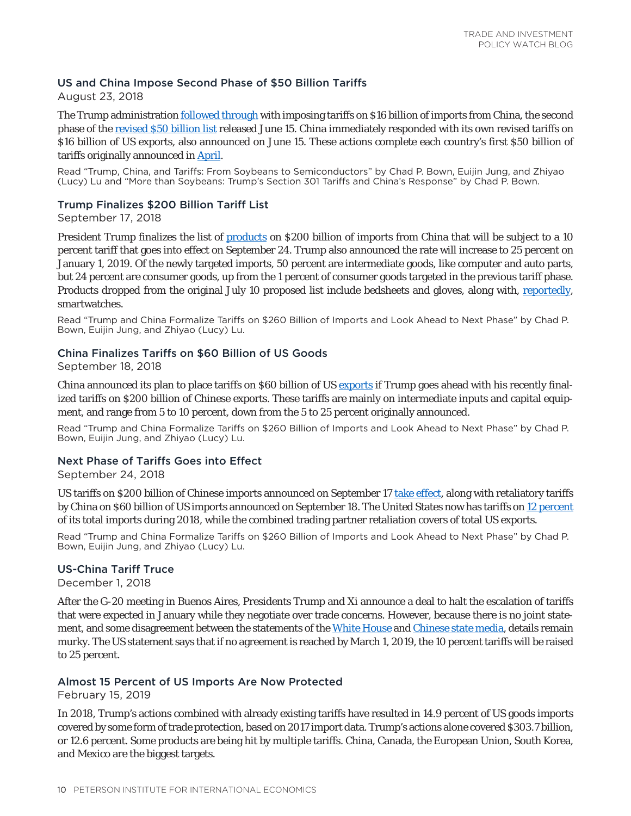## US and China Impose Second Phase of \$50 Billion Tariffs

August 23, 2018

The Trump administration [followed through](https://www.reuters.com/article/us-usa-trade-china/us-china-set-to-impose-more-tit-for-tat-tariffs-escalating-trade-war-idUSKCN1L809K) with imposing tariffs on \$16 billion of imports from China, the second phase of the [revised \\$50 billion list](https://piie.com/blogs/trade-investment-policy-watch/trump-china-and-tariffs-soybeans-semiconductors) released June 15. China immediately responded with its own revised tariffs on \$16 billion of US exports, also announced on June 15. These actions complete each country's first \$50 billion of tariffs originally announced in [April.](https://piie.com/blogs/trade-investment-policy-watch/more-soybeans-trumps-section-301-tariffs-and-chinas-response)

Read "Trump, China, and Tariffs: From Soybeans to Semiconductors" by Chad P. Bown, Euijin Jung, and Zhiyao (Lucy) Lu and "More than Soybeans: Trump's Section 301 Tariffs and China's Response" by Chad P. Bown.

## Trump Finalizes \$200 Billion Tariff List

September 17, 2018

President Trump finalizes the list of [products](https://piie.com/blogs/trade-investment-policy-watch/trump-and-china-formalize-tariffs-260-billion-imports-and-look) on \$200 billion of imports from China that will be subject to a 10 percent tariff that goes into effect on September 24. Trump also announced the rate will increase to 25 percent on January 1, 2019. Of the newly targeted imports, 50 percent are intermediate goods, like computer and auto parts, but 24 percent are consumer goods, up from the 1 percent of consumer goods targeted in the previous tariff phase. Products dropped from the original July 10 proposed list include bedsheets and gloves, along with, [reportedly,](https://www.washingtonpost.com/technology/2018/09/18/trumps-tariffs-wont-bite-apple-illustrating-tim-cooks-political-sway/?noredirect=on&utm_term=.7d3ab24f9652) smartwatches.

Read "Trump and China Formalize Tariffs on \$260 Billion of Imports and Look Ahead to Next Phase" by Chad P. Bown, Euijin Jung, and Zhiyao (Lucy) Lu.

## China Finalizes Tariffs on \$60 Billion of US Goods

September 18, 2018

China announced its plan to place tariffs on \$60 billion of US [exports](https://piie.com/blogs/trade-investment-policy-watch/trump-and-china-formalize-tariffs-260-billion-imports-and-look) if Trump goes ahead with his recently finalized tariffs on \$200 billion of Chinese exports. These tariffs are mainly on intermediate inputs and capital equipment, and range from 5 to 10 percent, down from the 5 to 25 percent originally announced.

Read "Trump and China Formalize Tariffs on \$260 Billion of Imports and Look Ahead to Next Phase" by Chad P. Bown, Euijin Jung, and Zhiyao (Lucy) Lu.

## Next Phase of Tariffs Goes into Effect

September 24, 2018

US tariffs on \$200 billion of Chinese imports announced on September 17 [take effect,](https://uk.reuters.com/article/uk-usa-trade-china/new-u-s-china-tariffs-set-to-take-effect-no-compromise-in-sight-idUKKCN1M404B) along with retaliatory tariffs by China on \$60 billion of US imports announced on September 18. The United States now has tariffs on [12 percent](https://piie.com/blogs/trade-investment-policy-watch/trump-and-china-formalize-tariffs-260-billion-imports-and-look) of its total imports during 2018, while the combined trading partner retaliation covers of total US exports.

Read "Trump and China Formalize Tariffs on \$260 Billion of Imports and Look Ahead to Next Phase" by Chad P. Bown, Euijin Jung, and Zhiyao (Lucy) Lu.

## US-China Tariff Truce

December 1, 2018

After the G-20 meeting in Buenos Aires, Presidents Trump and Xi announce a deal to halt the escalation of tariffs that were expected in January while they negotiate over trade concerns. However, because there is no joint state-ment, and some disagreement between the statements of the [White House](https://www.whitehouse.gov/briefings-statements/statement-press-secretary-regarding-presidents-working-dinner-china/) and [Chinese state media,](http://www.xinhuanet.com/world/2018-12/02/c_1123795855.htm) details remain murky. The US statement says that if no agreement is reached by March 1, 2019, the 10 percent tariffs will be raised to 25 percent.

## Almost 15 Percent of US Imports Are Now Protected

February 15, 2019

In 2018, Trump's actions combined with already existing tariffs have resulted in 14.9 percent of US goods imports covered by some form of trade protection, based on 2017 import data. Trump's actions alone covered \$303.7 billion, or 12.6 percent. Some products are being hit by multiple tariffs. China, Canada, the European Union, South Korea, and Mexico are the biggest targets.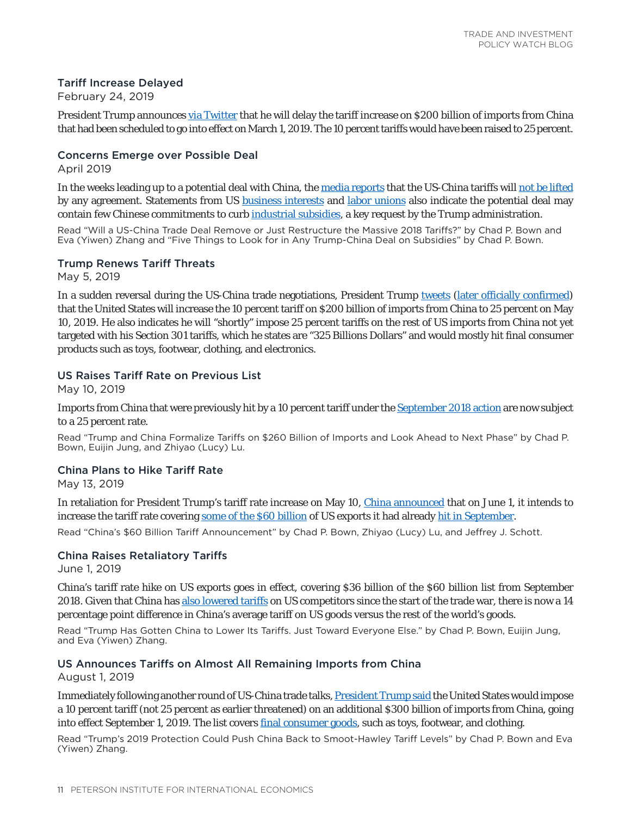## Tariff Increase Delayed

February 24, 2019

President Trump announces [via Twitter](https://twitter.com/realDonaldTrump/status/1099803719435239426) that he will delay the tariff increase on \$200 billion of imports from China that had been scheduled to go into effect on March 1, 2019. The 10 percent tariffs would have been raised to 25 percent.

## Concerns Emerge over Possible Deal

April 2019

In the weeks leading up to a potential deal with China, the [media reports](https://www.bloomberg.com/news/articles/2019-04-15/china-said-to-weigh-u-s-request-to-shift-tariffs-on-farm-goods) that the US-China tariffs will [not be lifted](https://piie.com/blogs/trade-investment-policy-watch/will-us-china-trade-deal-remove-or-just-restructure-massive-2018) by any agreement. Statements from US [business interests](https://www.nytimes.com/2019/05/02/us/politics/us-china-trade-deal-cybertheft.html) and [labor unions](https://www.ft.com/content/1198d4aa-6c52-11e9-80c7-60ee53e6681d) also indicate the potential deal may contain few Chinese commitments to curb [industrial subsidies](https://piie.com/blogs/trade-investment-policy-watch/five-things-look-any-trump-china-deal-subsidies), a key request by the Trump administration.

Read "Will a US-China Trade Deal Remove or Just Restructure the Massive 2018 Tariffs?" by Chad P. Bown and Eva (Yiwen) Zhang and "Five Things to Look for in Any Trump-China Deal on Subsidies" by Chad P. Bown.

## Trump Renews Tariff Threats

May 5, 2019

In a sudden reversal during the US-China trade negotiations, President Trump [tweets](https://twitter.com/realDonaldTrump/status/1125069835044573186) ([later officially confirmed](https://www.federalregister.gov/documents/2019/05/09/2019-09681/notice-of-modification-of-section-301-action-chinas-acts-policies-and-practices-related-to)) that the United States will increase the 10 percent tariff on \$200 billion of imports from China to 25 percent on May 10, 2019. He also indicates he will "shortly" impose 25 percent tariffs on the rest of US imports from China not yet targeted with his Section 301 tariffs, which he states are "325 Billions Dollars" and would mostly hit final consumer products such as toys, footwear, clothing, and electronics.

## US Raises Tariff Rate on Previous List

May 10, 2019

Imports from China that were previously hit by a 10 percent tariff under the [September 2018 action](https://piie.com/blogs/trade-investment-policy-watch/trump-and-china-formalize-tariffs-260-billion-imports-and-look) are now subject to a 25 percent rate.

Read "Trump and China Formalize Tariffs on \$260 Billion of Imports and Look Ahead to Next Phase" by Chad P. Bown, Euijin Jung, and Zhiyao (Lucy) Lu.

# China Plans to Hike Tariff Rate

May 13, 2019

In retaliation for President Trump's tariff rate increase on May 10, [China announced](https://www.reuters.com/article/us-usa-trade-china-tariffs/china-to-impose-tariffs-on-60-billion-of-u-s-goods-idUSKCN1SJ1AM) that on June 1, it intends to increase the tariff rate covering [some of the \\$60 billion](http://gss.mof.gov.cn/zhengwuxinxi/gongzuodongtai/201905/t20190513_3256787.html) of US exports it had already [hit in September](https://piie.com/blogs/trade-investment-policy-watch/chinas-60-billion-tariff-announcement).

Read "China's \$60 Billion Tariff Announcement" by Chad P. Bown, Zhiyao (Lucy) Lu, and Jeffrey J. Schott.

## China Raises Retaliatory Tariffs

June 1, 2019

China's tariff rate hike on US exports goes in effect, covering \$36 billion of the \$60 billion list from September 2018. Given that China has [also lowered tariffs](https://piie.com/blogs/trade-investment-policy-watch/trump-has-gotten-china-lower-its-tariffs-just-toward-everyone) on US competitors since the start of the trade war, there is now a 14 percentage point difference in China's average tariff on US goods versus the rest of the world's goods.

Read "Trump Has Gotten China to Lower Its Tariffs. Just Toward Everyone Else." by Chad P. Bown, Euijin Jung, and Eva (Yiwen) Zhang.

## US Announces Tariffs on Almost All Remaining Imports from China

August 1, 2019

Immediately following another round of US-China trade talks, [President Trump said](https://twitter.com/realDonaldTrump/status/1156979443900067841) the United States would impose a 10 percent tariff (not 25 percent as earlier threatened) on an additional \$300 billion of imports from China, going into effect September 1, 2019. The list covers [final consumer goods](https://www.piie.com/blogs/trade-and-investment-policy-watch/trumps-2019-protection-could-push-china-back-smoot-hawley), such as toys, footwear, and clothing.

Read "Trump's 2019 Protection Could Push China Back to Smoot-Hawley Tariff Levels" by Chad P. Bown and Eva (Yiwen) Zhang.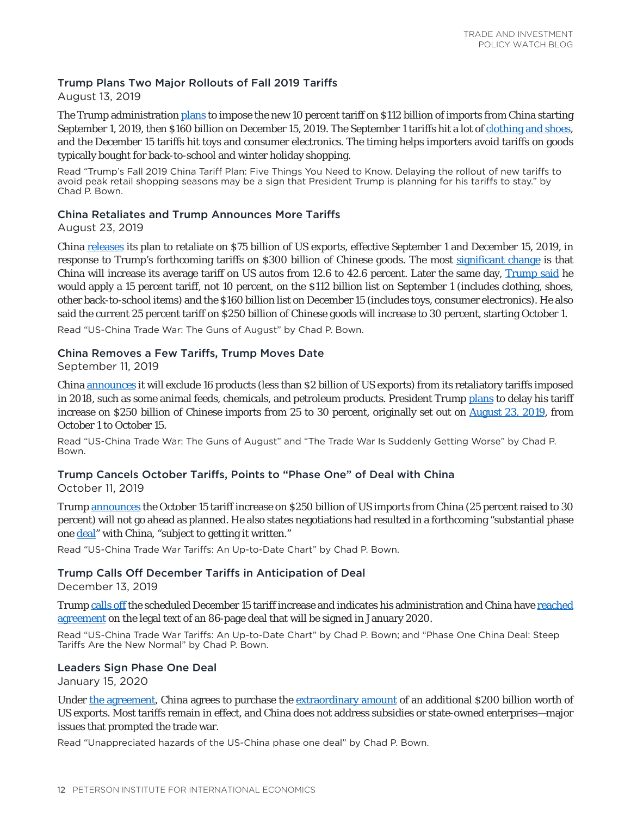## Trump Plans Two Major Rollouts of Fall 2019 Tariffs

August 13, 2019

The Trump administration [plans](https://ustr.gov/issue-areas/enforcement/section-301-investigations/section-301-china/300-billion-trade-action) to impose the new 10 percent tariff on \$112 billion of imports from China starting September 1, 2019, then \$160 billion on December 15, 2019. The September 1 tariffs hit a lot of [clothing and shoes,](https://www.piie.com/blogs/trade-and-investment-policy-watch/trumps-fall-2019-china-tariff-plan-five-things-you-need-know) and the December 15 tariffs hit toys and consumer electronics. The timing helps importers avoid tariffs on goods typically bought for back-to-school and winter holiday shopping.

Read "Trump's Fall 2019 China Tariff Plan: Five Things You Need to Know. Delaying the rollout of new tariffs to avoid peak retail shopping seasons may be a sign that President Trump is planning for his tariffs to stay." by Chad P. Bown.

## China Retaliates and Trump Announces More Tariffs

August 23, 2019

China [releases](http://gss.mof.gov.cn/zhengwuxinxi/zhengcefabu/201908/t20190823_3372928.html) its plan to retaliate on \$75 billion of US exports, effective September 1 and December 15, 2019, in response to Trump's forthcoming tariffs on \$300 billion of Chinese goods. The most [significant change](https://www.piie.com/blogs/trade-and-investment-policy-watch/us-china-trade-war-guns-august) is that China will increase its average tariff on US autos from 12.6 to 42.6 percent. Later the same day, [Trump said](https://twitter.com/realDonaldTrump/status/1165005927864512512) he would apply a 15 percent tariff, not 10 percent, on the \$112 billion list on September 1 (includes clothing, shoes, other back-to-school items) and the \$160 billion list on December 15 (includes toys, consumer electronics). He also said the current 25 percent tariff on \$250 billion of Chinese goods will increase to 30 percent, starting October 1.

Read "US-China Trade War: The Guns of August" by Chad P. Bown.

### China Removes a Few Tariffs, Trump Moves Date

September 11, 2019

China [announces](http://www.gov.cn/xinwen/2019-09/11/content_5429145.htm) it will exclude 16 products (less than \$2 billion of US exports) from its retaliatory tariffs imposed in 2018, such as some animal feeds, chemicals, and petroleum products. President Trump [plans](https://twitter.com/realDonaldTrump/status/1171925717988388865?s=20) to delay his tariff increase on \$250 billion of Chinese imports from 25 to 30 percent, originally set out on [August 23, 2019,](https://ustr.gov/about-us/policy-offices/press-office/press-releases/2019/august/ustr-statement-section-301-tariff) from October 1 to October 15.

Read "US-China Trade War: The Guns of August" and "The Trade War Is Suddenly Getting Worse" by Chad P. Bown.

# Trump Cancels October Tariffs, Points to "Phase One" of Deal with China

October 11, 2019

Trump [announces](https://www.bloomberg.com/news/articles/2019-10-11/u-s-china-said-to-reach-partial-deal-could-set-up-trade-truce-k1melw60) the October 15 tariff increase on \$250 billion of US imports from China (25 percent raised to 30 percent) will not go ahead as planned. He also states negotiations had resulted in a forthcoming "substantial phase one **deal**" with China, "subject to getting it written."

Read "US-China Trade War Tariffs: An Up-to-Date Chart" by Chad P. Bown.

## Trump Calls Off December Tariffs in Anticipation of Deal

December 13, 2019

Trump [calls off](https://twitter.com/realDonaldTrump/status/1205509125788098560?s=20) the scheduled December 15 tariff increase and indicates his administration and China have [reached](https://ustr.gov/about-us/policy-offices/press-office/press-releases/2019/december/united-states-and-china-reach) [agreement](https://ustr.gov/about-us/policy-offices/press-office/press-releases/2019/december/united-states-and-china-reach) on the legal text of an 86-page deal that will be signed in January 2020.

Read "US-China Trade War Tariffs: An Up-to-Date Chart" by Chad P. Bown; and "Phase One China Deal: Steep Tariffs Are the New Normal" by Chad P. Bown.

#### Leaders Sign Phase One Deal

January 15, 2020

Under [the agreement](https://ustr.gov/about-us/policy-offices/press-office/press-releases/2020/january/economic-and-trade-agreement-between-government-united-states-and-government-peoples-republic-china), China agrees to purchase the [extraordinary amount](https://www.piie.com/blogs/trade-and-investment-policy-watch/unappreciated-hazards-us-china-phase-one-deal) of an additional \$200 billion worth of US exports. Most tariffs remain in effect, and China does not address subsidies or state-owned enterprises—major issues that prompted the trade war.

Read "Unappreciated hazards of the US-China phase one deal" by Chad P. Bown.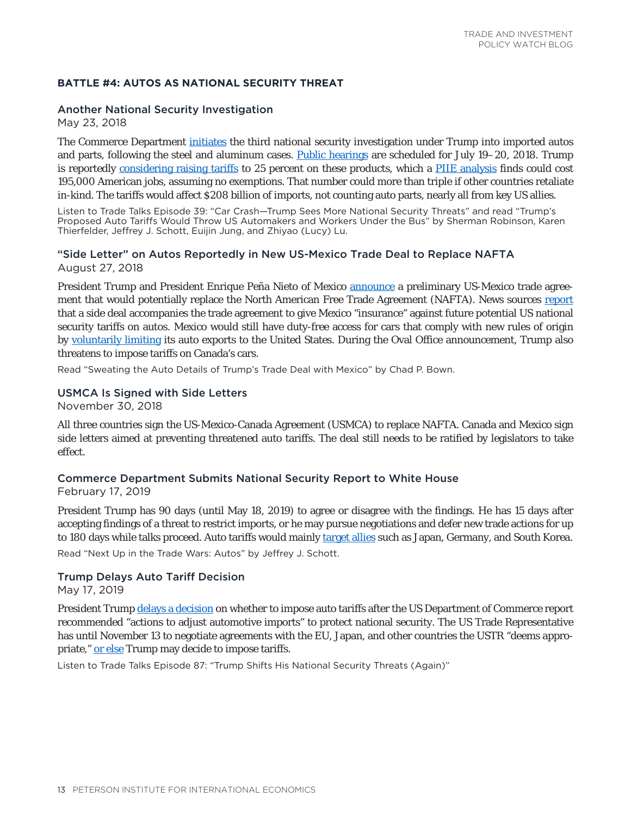#### <span id="page-12-0"></span>**BATTLE #4: AUTOS AS NATIONAL SECURITY THREAT**

#### Another National Security Investigation

May 23, 2018

The Commerce Department [initiates](https://www.commerce.gov/news/press-releases/2018/05/us-department-commerce-initiates-section-232-investigation-auto-imports) the third national security investigation under Trump into imported autos and parts, following the steel and aluminum cases. [Public hearings](https://www.federalregister.gov/documents/2018/05/30/2018-11708/notice-of-request-for-public-comments-and-public-hearing-on-section-232-national-security) are scheduled for July 19–20, 2018. Trump is reportedly [considering raising tariffs](https://piie.com/experts/peterson-perspectives/trade-talk-episode-39-car-crash-trump-sees-more-national-security) to 25 percent on these products, which a [PIIE analysis](https://piie.com/blogs/trade-investment-policy-watch/trumps-proposed-auto-tariffs-would-throw-us-automakers-and) finds could cost 195,000 American jobs, assuming no exemptions. That number could more than triple if other countries retaliate in-kind. The tariffs would affect \$208 billion of imports, not counting auto parts, nearly all from key US allies.

Listen to Trade Talks Episode 39: "Car Crash—Trump Sees More National Security Threats" and read "Trump's Proposed Auto Tariffs Would Throw US Automakers and Workers Under the Bus" by Sherman Robinson, Karen Thierfelder, Jeffrey J. Schott, Euijin Jung, and Zhiyao (Lucy) Lu.

## "Side Letter" on Autos Reportedly in New US-Mexico Trade Deal to Replace NAFTA August 27, 2018

President Trump and President Enrique Peña Nieto of Mexico [announce](https://www.whitehouse.gov/briefings-statements/remarks-president-trump-phone-call-president-pena-nieto-mexico-united-states-mexico-trade-agreement/) a preliminary US-Mexico trade agreement that would potentially replace the North American Free Trade Agreement (NAFTA). News sources [report](https://www.reuters.com/article/us-trade-nafta-autos-mexico-exclusive/exclusive-mexico-u-s-deal-includes-mexican-auto-export-cap-sources-idUSKCN1LD2PK) that a side deal accompanies the trade agreement to give Mexico "insurance" against future potential US national security tariffs on autos. Mexico would still have duty-free access for cars that comply with new rules of origin by [voluntarily limiting](https://piie.com/blogs/trade-investment-policy-watch/sweating-auto-details-trumps-trade-deal-mexico) its auto exports to the United States. During the Oval Office announcement, Trump also threatens to impose tariffs on Canada's cars.

Read "Sweating the Auto Details of Trump's Trade Deal with Mexico" by Chad P. Bown.

#### USMCA Is Signed with Side Letters

November 30, 2018

All three countries sign the US-Mexico-Canada Agreement (USMCA) to replace NAFTA. Canada and Mexico sign side letters aimed at preventing threatened auto tariffs. The deal still needs to be ratified by legislators to take effect.

#### Commerce Department Submits National Security Report to White House

February 17, 2019

President Trump has 90 days (until May 18, 2019) to agree or disagree with the findings. He has 15 days after accepting findings of a threat to restrict imports, or he may pursue negotiations and defer new trade actions for up to 180 days while talks proceed. Auto tariffs would mainly [target allies](https://piie.com/blogs/trade-investment-policy-watch/next-trade-wars-autos) such as Japan, Germany, and South Korea.

Read "Next Up in the Trade Wars: Autos" by Jeffrey J. Schott.

#### Trump Delays Auto Tariff Decision

May 17, 2019

President Trump [delays a decision](https://www.whitehouse.gov/presidential-actions/adjusting-imports-automobiles-automobile-parts-united-states/) on whether to impose auto tariffs after the US Department of Commerce report recommended "actions to adjust automotive imports" to protect national security. The US Trade Representative has until November 13 to negotiate agreements with the EU, Japan, and other countries the USTR "deems appropriate," [or else](https://www.tradetalkspodcast.com/podcast/87-trump-shifts-his-national-security-threats-again/) Trump may decide to impose tariffs.

Listen to Trade Talks Episode 87: "Trump Shifts His National Security Threats (Again)"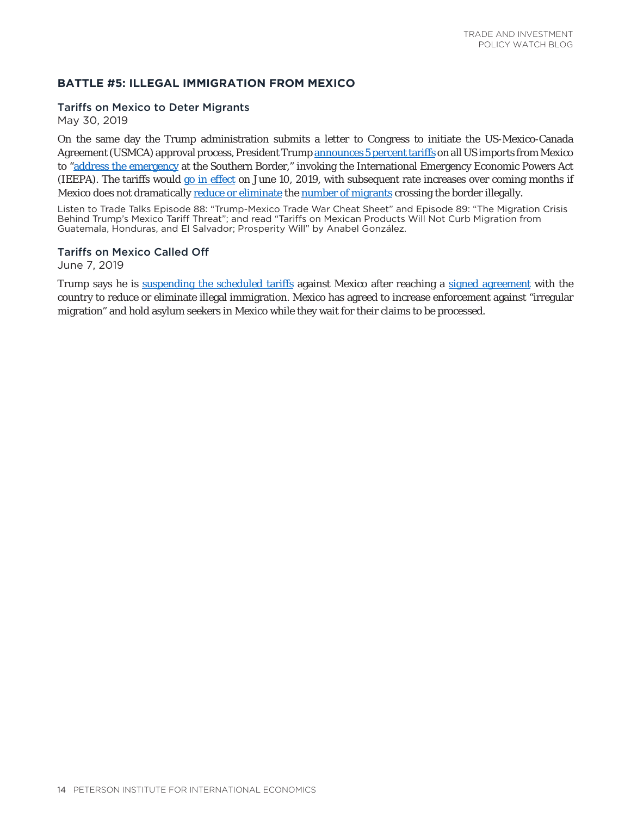## <span id="page-13-0"></span>**BATTLE #5: ILLEGAL IMMIGRATION FROM MEXICO**

#### Tariffs on Mexico to Deter Migrants

May 30, 2019

On the same day the Trump administration submits a letter to Congress to initiate the US-Mexico-Canada Agreement (USMCA) approval process, President Trump [announces 5 percent tariffs](https://twitter.com/realDonaldTrump/status/1134240653926232064) on all US imports from Mexico to ["address the emergency](https://www.whitehouse.gov/briefings-statements/statement-president-regarding-emergency-measures-address-border-crisis/) at the Southern Border," invoking the International Emergency Economic Powers Act (IEEPA). The tariffs would [go in effect](https://www.tradetalkspodcast.com/podcast/88-trump-mexico-trade-war-cheat-sheet/) on June 10, 2019, with subsequent rate increases over coming months if Mexico does not dramatically [reduce or eliminate](https://piie.com/blogs/realtime-economic-issues-watch/tariffs-mexican-products-will-not-curb-migration-guatemala) the [number of migrants](https://www.tradetalkspodcast.com/podcast/89-the-migration-crisis-behind-trumps-mexico-tariff-threat/) crossing the border illegally.

Listen to Trade Talks Episode 88: "Trump-Mexico Trade War Cheat Sheet" and Episode 89: "The Migration Crisis Behind Trump's Mexico Tariff Threat"; and read "Tariffs on Mexican Products Will Not Curb Migration from Guatemala, Honduras, and El Salvador; Prosperity Will" by Anabel González.

### Tariffs on Mexico Called Off

June 7, 2019

Trump says he is [suspending the scheduled tariffs](https://twitter.com/realDonaldTrump/status/1137155056044826626) against Mexico after reaching a [signed agreement](https://www.state.gov/u-s-mexico-joint-declaration/) with the country to reduce or eliminate illegal immigration. Mexico has agreed to increase enforcement against "irregular migration" and hold asylum seekers in Mexico while they wait for their claims to be processed.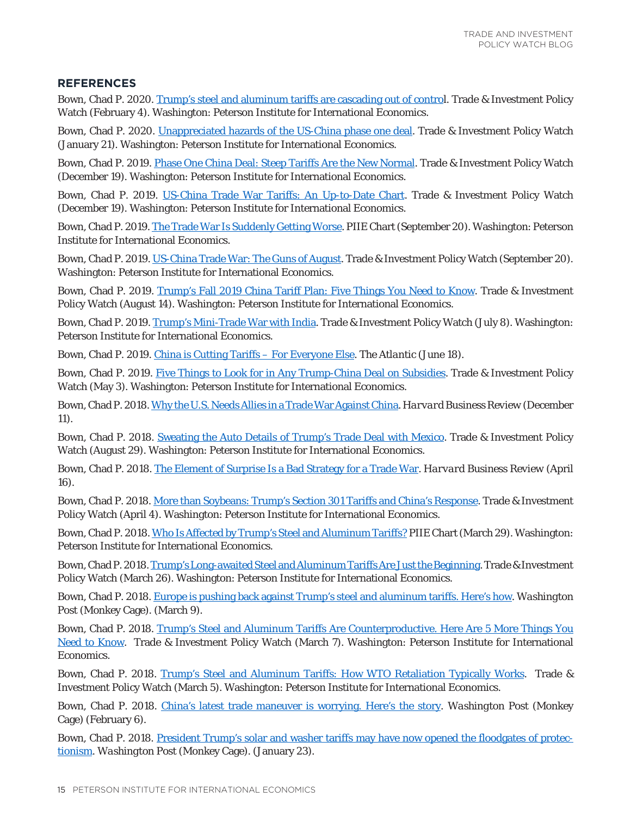## <span id="page-14-0"></span>**REFERENCES**

Bown, Chad P. 2020. [Trump's steel and aluminum tariffs are cascading out of contro](https://www.piie.com/blogs/trade-and-investment-policy-watch/trumps-steel-and-aluminum-tariffs-are-cascading-out-control)l. Trade & Investment Policy Watch (February 4). Washington: Peterson Institute for International Economics.

Bown, Chad P. 2020. [Unappreciated hazards of the US-China phase one deal](https://www.piie.com/blogs/trade-and-investment-policy-watch/unappreciated-hazards-us-china-phase-one-deal). Trade & Investment Policy Watch (January 21). Washington: Peterson Institute for International Economics.

Bown, Chad P. 2019. [Phase One China Deal: Steep Tariffs Are the New Normal.](https://www.piie.com/blogs/trade-and-investment-policy-watch/phase-one-china-deal-steep-tariffs-are-new-normal) Trade & Investment Policy Watch (December 19). Washington: Peterson Institute for International Economics.

Bown, Chad P. 2019. [US-China Trade War Tariffs: An Up-to-Date Chart](https://www.piie.com/research/piie-charts/us-china-trade-war-tariffs-date-chart). Trade & Investment Policy Watch (December 19). Washington: Peterson Institute for International Economics.

Bown, Chad P. 2019. [The Trade War Is Suddenly Getting Worse](https://www.piie.com/research/piie-charts/trade-war-suddenly-getting-worse). PIIE Chart (September 20). Washington: Peterson Institute for International Economics.

Bown, Chad P. 2019. [US-China Trade War: The Guns of August.](https://www.piie.com/blogs/trade-and-investment-policy-watch/us-china-trade-war-guns-august) Trade & Investment Policy Watch (September 20). Washington: Peterson Institute for International Economics.

Bown, Chad P. 2019. [Trump's Fall 2019 China Tariff Plan: Five Things You Need to Know.](https://www.piie.com/blogs/trade-and-investment-policy-watch/trumps-fall-2019-china-tariff-plan-five-things-you-need-know) Trade & Investment Policy Watch (August 14). Washington: Peterson Institute for International Economics.

Bown, Chad P. 2019. [Trump's Mini-Trade War with India](https://www.piie.com/blogs/trade-investment-policy-watch/trumps-mini-trade-war-india). Trade & Investment Policy Watch (July 8). Washington: Peterson Institute for International Economics.

Bown, Chad P. 2019. [China is Cutting Tariffs – For Everyone Else.](https://www.theatlantic.com/ideas/archive/2019/06/chinas-two-pronged-trade-war/591877/) *The Atlantic* (June 18).

Bown, Chad P. 2019. [Five Things to Look for in Any Trump-China Deal on Subsidies](https://piie.com/blogs/trade-investment-policy-watch/five-things-look-any-trump-china-deal-subsidies). Trade & Investment Policy Watch (May 3). Washington: Peterson Institute for International Economics.

Bown, Chad P. 2018. [Why the U.S. Needs Allies in a Trade War Against China](https://hbr.org/2018/12/why-the-u-s-needs-allies-in-a-trade-war-against-china). *Harvard Business Review* (December 11).

Bown, Chad P. 2018. [Sweating the Auto Details of Trump's Trade Deal with Mexico.](https://piie.com/blogs/trade-investment-policy-watch/sweating-auto-details-trumps-trade-deal-mexico) Trade & Investment Policy Watch (August 29). Washington: Peterson Institute for International Economics.

Bown, Chad P. 2018. [The Element of Surprise Is a Bad Strategy for a Trade War](https://hbr.org/2018/04/the-element-of-surprise-is-a-bad-strategy-for-a-trade-war). *Harvard Business Review* (April 16).

Bown, Chad P. 2018. [More than Soybeans: Trump's Section 301 Tariffs and China's Response.](https://piie.com/blogs/trade-investment-policy-watch/more-soybeans-trumps-section-301-tariffs-and-chinas-response) Trade & Investment Policy Watch (April 4). Washington: Peterson Institute for International Economics.

Bown, Chad P. 2018. [Who Is Affected by Trump's Steel and Aluminum Tariffs?](https://piie.com/research/piie-charts/who-affected-trumps-steel-and-aluminum-tariffs) PIIE Chart (March 29). Washington: Peterson Institute for International Economics.

Bown, Chad P. 2018. [Trump's Long-awaited Steel and Aluminum Tariffs Are Just the Beginning.](https://piie.com/blogs/trade-investment-policy-watch/trumps-long-awaited-steel-and-aluminum-tariffs-are-just) Trade & Investment Policy Watch (March 26). Washington: Peterson Institute for International Economics.

Bown, Chad P. 2018. [Europe is pushing back against Trump's steel and aluminum tariffs. Here's how.](https://piie.com/commentary/op-eds/europe-pushing-back-against-trumps-steel-and-aluminum-tariffs-heres-how) *Washington Post* (Monkey Cage). (March 9).

Bown, Chad P. 2018. Trump's Steel and Aluminum Tariffs [Are Counterproductive. Here Are 5 More Things You](https://piie.com/blogs/trade-investment-policy-watch/trumps-steel-and-aluminum-tariffs-are-counterproductive-here-are) [Need to Know](https://piie.com/blogs/trade-investment-policy-watch/trumps-steel-and-aluminum-tariffs-are-counterproductive-here-are). Trade & Investment Policy Watch (March 7). Washington: Peterson Institute for International Economics.

Bown, Chad P. 2018. [Trump's Steel and Aluminum Tariffs: How WTO Retaliation Typically Works.](https://piie.com/blogs/trade-investment-policy-watch/trumps-steel-and-aluminum-tariffs-how-wto-retaliation-typically) Trade & Investment Policy Watch (March 5). Washington: Peterson Institute for International Economics.

Bown, Chad P. 2018. [China's latest trade maneuver is worrying. Here's the story.](https://piie.com/commentary/op-eds/chinas-latest-trade-maneuver-worrying) *Washington Post* (Monkey Cage) (February 6).

Bown, Chad P. 2018. [President Trump's solar and washer tariffs may have now opened the floodgates of protec](https://piie.com/commentary/op-eds/donald-trumps-solar-and-washer-tariffs-may-have-now-opened-floodgates)[tionism](https://piie.com/commentary/op-eds/donald-trumps-solar-and-washer-tariffs-may-have-now-opened-floodgates). *Washington Post* (Monkey Cage). (January 23).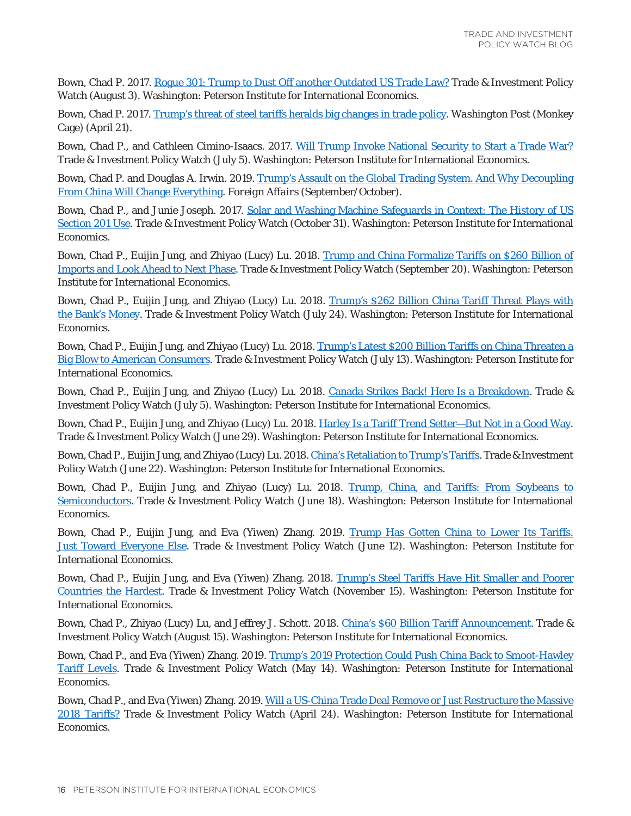Bown, Chad P. 2017. [Rogue 301: Trump to Dust Off another Outdated US Trade Law?](https://piie.com/blogs/trade-investment-policy-watch/rogue-301-trump-dust-another-outdated-us-trade-law) Trade & Investment Policy Watch (August 3). Washington: Peterson Institute for International Economics.

Bown, Chad P. 2017. [Trump's threat of steel tariffs heralds big changes in trade policy.](https://piie.com/commentary/op-eds/trumps-threat-steel-tariffs-heralds-big-changes-trade-policy) *Washington Post* (Monkey Cage) (April 21).

Bown, Chad P., and Cathleen Cimino-Isaacs. 2017. [Will Trump Invoke National Security to Start a Trade War?](https://piie.com/blogs/trade-investment-policy-watch/will-trump-invoke-national-security-start-trade-war) Trade & Investment Policy Watch (July 5). Washington: Peterson Institute for International Economics.

Bown, Chad P. and Douglas A. Irwin. 2019. [Trump's Assault on the Global Trading System. And Why Decoupling](https://www.piie.com/commentary/op-eds/trumps-assault-global-trading-system-and-why-decoupling-china-will-change) [From China Will Change Everything.](https://www.piie.com/commentary/op-eds/trumps-assault-global-trading-system-and-why-decoupling-china-will-change) *Foreign Affairs* (September/October).

Bown, Chad P., and Junie Joseph. 2017. [Solar and Washing Machine Safeguards in Context: The History of US](https://piie.com/blogs/trade-investment-policy-watch/solar-and-washing-machine-safeguards-context-history-us-section) [Section 201 Use.](https://piie.com/blogs/trade-investment-policy-watch/solar-and-washing-machine-safeguards-context-history-us-section) Trade & Investment Policy Watch (October 31). Washington: Peterson Institute for International Economics.

Bown, Chad P., Euijin Jung, and Zhiyao (Lucy) Lu. 2018. [Trump and China Formalize Tariffs on \\$260 Billion of](https://piie.com/blogs/trade-investment-policy-watch/trump-and-china-formalize-tariffs-260-billion-imports-and-look) [Imports and Look Ahead to Next Phase](https://piie.com/blogs/trade-investment-policy-watch/trump-and-china-formalize-tariffs-260-billion-imports-and-look). Trade & Investment Policy Watch (September 20). Washington: Peterson Institute for International Economics.

Bown, Chad P., Euijin Jung, and Zhiyao (Lucy) Lu. 2018. [Trump's \\$262 Billion China Tariff Threat Plays with](https://piie.com/blogs/trade-investment-policy-watch/trumps-262-billion-china-tariff-threat-plays-banks-money) [the Bank's Money](https://piie.com/blogs/trade-investment-policy-watch/trumps-262-billion-china-tariff-threat-plays-banks-money). Trade & Investment Policy Watch (July 24). Washington: Peterson Institute for International Economics.

Bown, Chad P., Euijin Jung, and Zhiyao (Lucy) Lu. 2018. [Trump's Latest \\$200 Billion Tariffs on China Threaten a](https://piie.com/blogs/trade-investment-policy-watch/trumps-latest-200-billion-tariffs-china-threaten-big-blow) [Big Blow to American Consumers.](https://piie.com/blogs/trade-investment-policy-watch/trumps-latest-200-billion-tariffs-china-threaten-big-blow) Trade & Investment Policy Watch (July 13). Washington: Peterson Institute for International Economics.

Bown, Chad P., Euijin Jung, and Zhiyao (Lucy) Lu. 2018. [Canada Strikes Back! Here Is a Breakdown.](https://piie.com/blogs/trade-investment-policy-watch/canada-strikes-back-here-breakdown) Trade & Investment Policy Watch (July 5). Washington: Peterson Institute for International Economics.

Bown, Chad P., Euijin Jung, and Zhiyao (Lucy) Lu. 2018. [Harley Is a Tariff Trend Setter—But Not in a Good Way.](https://piie.com/blogs/trade-investment-policy-watch/harley-tariff-trend-setter-not-good-way) Trade & Investment Policy Watch (June 29). Washington: Peterson Institute for International Economics.

Bown, Chad P., Euijin Jung, and Zhiyao (Lucy) Lu. 2018. [China's Retaliation to Trump's Tariffs](https://piie.com/blogs/trade-investment-policy-watch/chinas-retaliation-trumps-tariffs). Trade & Investment Policy Watch (June 22). Washington: Peterson Institute for International Economics.

Bown, Chad P., Euijin Jung, and Zhiyao (Lucy) Lu. 2018. [Trump, China, and Tariffs: From Soybeans to](https://piie.com/blogs/trade-investment-policy-watch/trump-china-and-tariffs-soybeans-semiconductors) [Semiconductors](https://piie.com/blogs/trade-investment-policy-watch/trump-china-and-tariffs-soybeans-semiconductors). Trade & Investment Policy Watch (June 18). Washington: Peterson Institute for International Economics.

Bown, Chad P., Euijin Jung, and Eva (Yiwen) Zhang. 2019. [Trump Has Gotten China to Lower Its Tariffs.](https://piie.com/blogs/trade-investment-policy-watch/trump-has-gotten-china-lower-its-tariffs-just-toward-everyone) [Just Toward Everyone Else.](https://piie.com/blogs/trade-investment-policy-watch/trump-has-gotten-china-lower-its-tariffs-just-toward-everyone) Trade & Investment Policy Watch (June 12). Washington: Peterson Institute for International Economics.

Bown, Chad P., Euijin Jung, and Eva (Yiwen) Zhang. 2018. [Trump's Steel Tariffs Have Hit Smaller and Poorer](https://piie.com/blogs/trade-investment-policy-watch/trumps-steel-tariffs-have-hit-smaller-and-poorer-countries) [Countries the Hardest.](https://piie.com/blogs/trade-investment-policy-watch/trumps-steel-tariffs-have-hit-smaller-and-poorer-countries) Trade & Investment Policy Watch (November 15). Washington: Peterson Institute for International Economics.

Bown, Chad P., Zhiyao (Lucy) Lu, and Jeffrey J. Schott. 2018. [China's \\$60 Billion Tariff Announcement](https://piie.com/blogs/trade-investment-policy-watch/chinas-60-billion-tariff-announcement). Trade & Investment Policy Watch (August 15). Washington: Peterson Institute for International Economics.

Bown, Chad P., and Eva (Yiwen) Zhang. 2019. [Trump's 2019 Protection Could Push China Back to Smoot-Hawley](https://piie.com/blogs/trade-investment-policy-watch/trumps-2019-protection-could-push-china-back-smoot-hawley-tariff) [Tariff Levels](https://piie.com/blogs/trade-investment-policy-watch/trumps-2019-protection-could-push-china-back-smoot-hawley-tariff). Trade & Investment Policy Watch (May 14). Washington: Peterson Institute for International Economics.

Bown, Chad P., and Eva (Yiwen) Zhang. 2019. [Will a US-China Trade Deal Remove or Just Restructure the Massive](https://piie.com/blogs/trade-investment-policy-watch/will-us-china-trade-deal-remove-or-just-restructure-massive-2018) [2018 Tariffs?](https://piie.com/blogs/trade-investment-policy-watch/will-us-china-trade-deal-remove-or-just-restructure-massive-2018) Trade & Investment Policy Watch (April 24). Washington: Peterson Institute for International Economics.